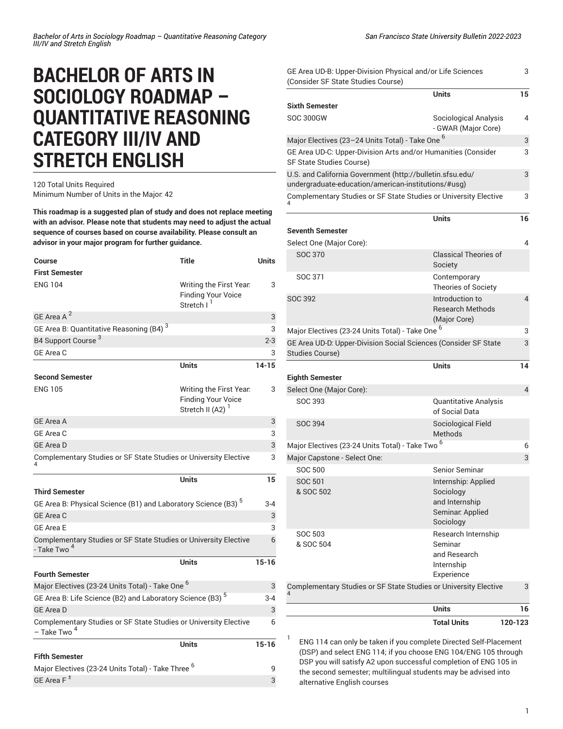# **BACHELOR OF ARTS IN SOCIOLOGY ROADMAP – QUANTITATIVE REASONING CATEGORY III/IV AND STRETCH ENGLISH**

## 120 Total Units Required

Minimum Number of Units in the Major: 42

**This roadmap is a suggested plan of study and does not replace meeting with an advisor. Please note that students may need to adjust the actual sequence of courses based on course availability. Please consult an advisor in your major program for further guidance.**

| <b>Course</b>                                                                               | <b>Title</b>                                                                   | <b>Units</b> |
|---------------------------------------------------------------------------------------------|--------------------------------------------------------------------------------|--------------|
| <b>First Semester</b>                                                                       |                                                                                |              |
| <b>ENG 104</b>                                                                              | Writing the First Year.<br><b>Finding Your Voice</b><br>Stretch I <sup>I</sup> | 3            |
| GE Area A <sup>2</sup>                                                                      |                                                                                | 3            |
| GE Area B: Quantitative Reasoning (B4) <sup>3</sup>                                         |                                                                                | 3            |
| B4 Support Course <sup>3</sup>                                                              |                                                                                | $2 - 3$      |
| <b>GE Area C</b>                                                                            |                                                                                | 3            |
|                                                                                             | <b>Units</b>                                                                   | $14 - 15$    |
| <b>Second Semester</b>                                                                      |                                                                                |              |
| <b>ENG 105</b>                                                                              | Writing the First Year.<br><b>Finding Your Voice</b><br>Stretch II (A2)        | 3            |
| <b>GE Area A</b>                                                                            |                                                                                | 3            |
| GE Area C                                                                                   |                                                                                | 3            |
| <b>GE Area D</b>                                                                            |                                                                                | 3            |
| Complementary Studies or SF State Studies or University Elective                            |                                                                                | 3            |
|                                                                                             |                                                                                |              |
|                                                                                             | <b>Units</b>                                                                   | 15           |
| <b>Third Semester</b>                                                                       |                                                                                |              |
| GE Area B: Physical Science (B1) and Laboratory Science (B3) <sup>5</sup>                   |                                                                                | $3 - 4$      |
| GE Area C                                                                                   |                                                                                | 3            |
| <b>GE Area E</b>                                                                            |                                                                                | 3            |
| Complementary Studies or SF State Studies or University Elective<br>- Take Two <sup>4</sup> |                                                                                | 6            |
|                                                                                             | <b>Units</b>                                                                   | $15 - 16$    |
| <b>Fourth Semester</b>                                                                      |                                                                                |              |
| Major Electives (23-24 Units Total) - Take One <sup>6</sup>                                 |                                                                                | 3            |
| GE Area B: Life Science (B2) and Laboratory Science (B3) 5                                  |                                                                                | $3 - 4$      |
| <b>GE Area D</b>                                                                            |                                                                                | 3            |
| Complementary Studies or SF State Studies or University Elective<br>- Take Two <sup>4</sup> |                                                                                | 6            |
|                                                                                             | <b>Units</b>                                                                   | $15 - 16$    |
| <b>Fifth Semester</b>                                                                       |                                                                                |              |
| Major Electives (23-24 Units Total) - Take Three <sup>6</sup>                               |                                                                                | 9            |

| GE Area UD-B: Upper-Division Physical and/or Life Sciences<br>(Consider SF State Studies Course)                 |                                                                                     | 3       |
|------------------------------------------------------------------------------------------------------------------|-------------------------------------------------------------------------------------|---------|
|                                                                                                                  | <b>Units</b>                                                                        | 15      |
| <b>Sixth Semester</b>                                                                                            |                                                                                     |         |
| <b>SOC 300GW</b>                                                                                                 | Sociological Analysis<br>- GWAR (Major Core)                                        | 4       |
| Major Electives (23–24 Units Total) - Take One <sup>6</sup>                                                      |                                                                                     | 3       |
| GE Area UD-C: Upper-Division Arts and/or Humanities (Consider<br>SF State Studies Course)                        |                                                                                     | 3       |
| U.S. and California Government (http://bulletin.sfsu.edu/<br>undergraduate-education/american-institutions/#usg) |                                                                                     | 3       |
| Complementary Studies or SF State Studies or University Elective                                                 |                                                                                     | 3       |
| <b>Seventh Semester</b>                                                                                          | <b>Units</b>                                                                        | 16      |
| Select One (Major Core):                                                                                         |                                                                                     | 4       |
| <b>SOC 370</b>                                                                                                   | <b>Classical Theories of</b><br>Society                                             |         |
| SOC 371                                                                                                          | Contemporary<br><b>Theories of Society</b>                                          |         |
| <b>SOC 392</b>                                                                                                   | Introduction to<br><b>Research Methods</b><br>(Major Core)                          | 4       |
| Major Electives (23-24 Units Total) - Take One                                                                   | 6                                                                                   | 3       |
| GE Area UD-D: Upper-Division Social Sciences (Consider SF State<br><b>Studies Course)</b>                        |                                                                                     | 3       |
|                                                                                                                  | <b>Units</b>                                                                        | 14      |
| <b>Eighth Semester</b>                                                                                           |                                                                                     |         |
| Select One (Major Core):                                                                                         |                                                                                     | 4       |
| SOC 393                                                                                                          | <b>Quantitative Analysis</b><br>of Social Data                                      |         |
| SOC 394                                                                                                          | Sociological Field<br><b>Methods</b>                                                |         |
| Major Electives (23-24 Units Total) - Take Two <sup>6</sup>                                                      |                                                                                     | 6       |
| Major Capstone - Select One:                                                                                     |                                                                                     | 3       |
| <b>SOC 500</b>                                                                                                   | <b>Senior Seminar</b>                                                               |         |
| SOC 501<br>& SOC 502                                                                                             | Internship: Applied<br>Sociology<br>and Internship<br>Seminar: Applied<br>Sociology |         |
| <b>SOC 503</b><br>& SOC 504                                                                                      | Research Internship<br>Seminar<br>and Research<br>Internship<br>Experience          |         |
| Complementary Studies or SF State Studies or University Elective                                                 |                                                                                     | 3       |
|                                                                                                                  | <b>Units</b>                                                                        | 16      |
|                                                                                                                  | <b>Total Units</b>                                                                  | 120-123 |

ENG 114 can only be taken if you complete Directed Self-Placement (DSP) and select ENG 114; if you choose ENG 104/ENG 105 through DSP you will satisfy A2 upon successful completion of ENG 105 in the second semester; multilingual students may be advised into alternative English courses

1